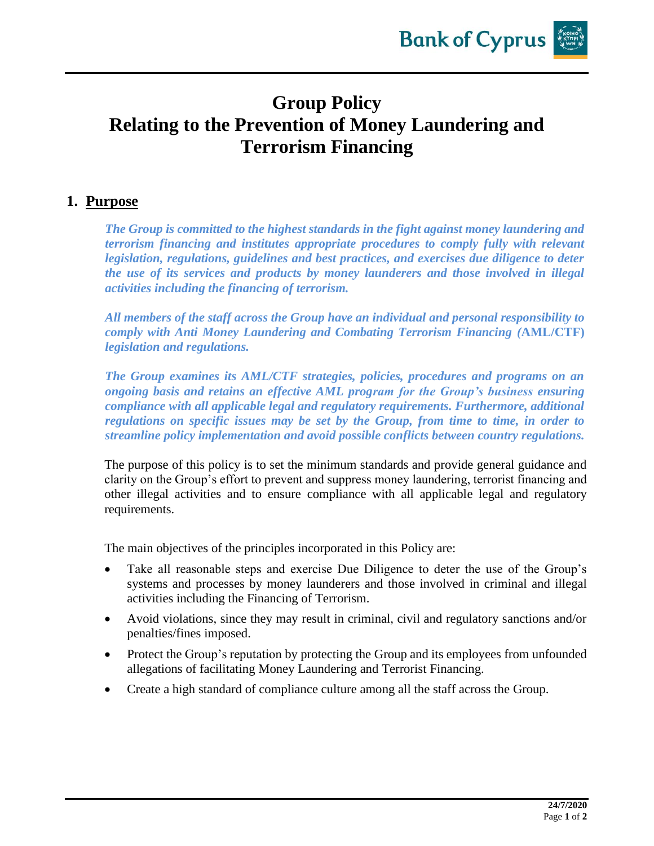## **Group Policy Relating to the Prevention of Money Laundering and Terrorism Financing**

## **1. Purpose**

*The Group is committed to the highest standards in the fight against money laundering and terrorism financing and institutes appropriate procedures to comply fully with relevant legislation, regulations, guidelines and best practices, and exercises due diligence to deter the use of its services and products by money launderers and those involved in illegal activities including the financing of terrorism.*

*All members of the staff across the Group have an individual and personal responsibility to comply with Anti Money Laundering and Combating Terrorism Financing (***AML/CTF)** *legislation and regulations.*

*The Group examines its AML/CTF strategies, policies, procedures and programs on an ongoing basis and retains an effective AML program for the Group's business ensuring compliance with all applicable legal and regulatory requirements. Furthermore, additional regulations on specific issues may be set by the Group, from time to time, in order to streamline policy implementation and avoid possible conflicts between country regulations.*

The purpose of this policy is to set the minimum standards and provide general guidance and clarity on the Group's effort to prevent and suppress money laundering, terrorist financing and other illegal activities and to ensure compliance with all applicable legal and regulatory requirements.

The main objectives of the principles incorporated in this Policy are:

- Take all reasonable steps and exercise Due Diligence to deter the use of the Group's systems and processes by money launderers and those involved in criminal and illegal activities including the Financing of Terrorism.
- Avoid violations, since they may result in criminal, civil and regulatory sanctions and/or penalties/fines imposed.
- Protect the Group's reputation by protecting the Group and its employees from unfounded allegations of facilitating Money Laundering and Terrorist Financing.
- Create a high standard of compliance culture among all the staff across the Group.